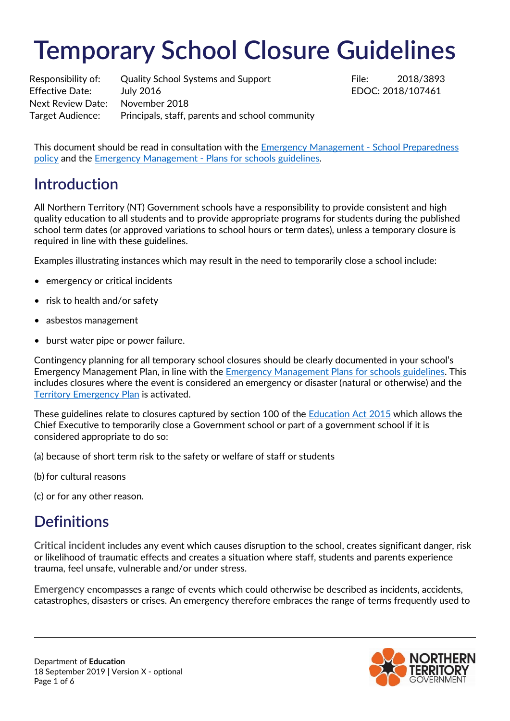# **Temporary School Closure Guidelines**

Responsibility of: Quality School Systems and Support File: 2018/3893 Effective Date: July 2016 **Example 2018** EDOC: 2018/107461 Next Review Date: November 2018 Target Audience: Principals, staff, parents and school community

This document should be read in consultation with the [Emergency Management -](https://education.nt.gov.au/policies) School Preparedness [policy](https://education.nt.gov.au/policies) and the Emergency Management - [Plans for schools guidelines.](https://education.nt.gov.au/policies)

# **Introduction**

All Northern Territory (NT) Government schools have a responsibility to provide consistent and high quality education to all students and to provide appropriate programs for students during the published school term dates (or approved variations to school hours or term dates), unless a temporary closure is required in line with these guidelines.

Examples illustrating instances which may result in the need to temporarily close a school include:

- emergency or critical incidents
- risk to health and/or safety
- asbestos management
- burst water pipe or power failure.

Contingency planning for all temporary school closures should be clearly documented in your school's Emergency Management Plan, in line with the [Emergency Management Plans for schools guidelines.](https://education.nt.gov.au/policies/emergency-management) This includes closures where the event is considered an emergency or disaster (natural or otherwise) and the [Territory Emergency Plan](http://www.pfes.nt.gov.au/sites/default/files/uploads/files/2019/TEP%20April%202019.pdf) is activated.

These guidelines relate to closures captured by section 100 of the [Education Act 2015](https://legislation.nt.gov.au/Legislation/EDUCATION-ACT-2015) which allows the Chief Executive to temporarily close a Government school or part of a government school if it is considered appropriate to do so:

(a) because of short term risk to the safety or welfare of staff or students

(b) for cultural reasons

(c) or for any other reason.

# **Definitions**

**Critical incident** includes any event which causes disruption to the school, creates significant danger, risk or likelihood of traumatic effects and creates a situation where staff, students and parents experience trauma, feel unsafe, vulnerable and/or under stress.

**Emergency** encompasses a range of events which could otherwise be described as incidents, accidents, catastrophes, disasters or crises. An emergency therefore embraces the range of terms frequently used to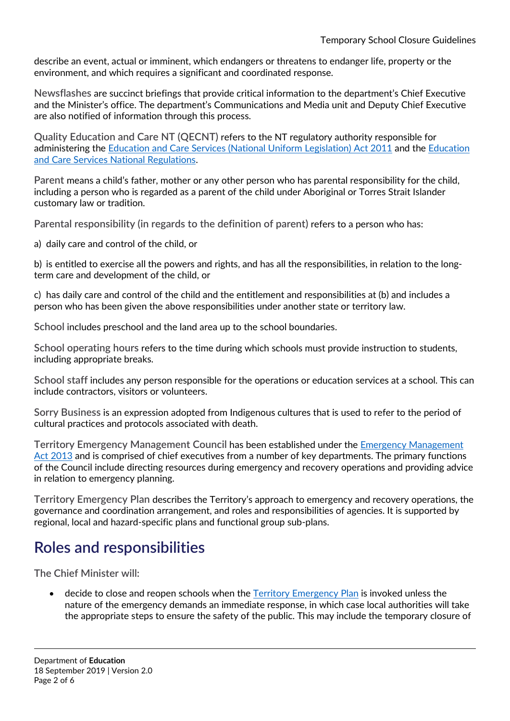describe an event, actual or imminent, which endangers or threatens to endanger life, property or the environment, and which requires a significant and coordinated response.

**Newsflashes** are succinct briefings that provide critical information to the department's Chief Executive and the Minister's office. The department's Communications and Media unit and Deputy Chief Executive are also notified of information through this process.

**Quality Education and Care NT (QECNT)** refers to the NT regulatory authority responsible for administering the [Education and Care Services \(National Uniform Legislation\) Act 2011](https://legislation.nt.gov.au/Legislation/EDUCATION-AND-CARE-SERVICES-NATIONAL-UNIFORM-LEGISLATION-ACT-2011) and the [Education](https://www.acecqa.gov.au/nqf/national-law-regulations/national-regulations)  [and Care Services National Regulations.](https://www.acecqa.gov.au/nqf/national-law-regulations/national-regulations)

**Parent** means a child's father, mother or any other person who has parental responsibility for the child, including a person who is regarded as a parent of the child under Aboriginal or Torres Strait Islander customary law or tradition.

**Parental responsibility (in regards to the definition of parent)** refers to a person who has:

a) daily care and control of the child, or

b) is entitled to exercise all the powers and rights, and has all the responsibilities, in relation to the longterm care and development of the child, or

c) has daily care and control of the child and the entitlement and responsibilities at (b) and includes a person who has been given the above responsibilities under another state or territory law.

**School** includes preschool and the land area up to the school boundaries.

**School operating hours** refers to the time during which schools must provide instruction to students, including appropriate breaks.

**School staff** includes any person responsible for the operations or education services at a school. This can include contractors, visitors or volunteers.

**Sorry Business** is an expression adopted from Indigenous cultures that is used to refer to the period of cultural practices and protocols associated with death.

**Territory Emergency Management Council** has been established under the [Emergency Management](https://legislation.nt.gov.au/Legislation/EMERGENCY-MANAGEMENT-ACT-2013)  [Act 2013](https://legislation.nt.gov.au/Legislation/EMERGENCY-MANAGEMENT-ACT-2013) and is comprised of chief executives from a number of key departments. The primary functions of the Council include directing resources during emergency and recovery operations and providing advice in relation to emergency planning.

**Territory Emergency Plan** describes the Territory's approach to emergency and recovery operations, the governance and coordination arrangement, and roles and responsibilities of agencies. It is supported by regional, local and hazard-specific plans and functional group sub-plans.

## **Roles and responsibilities**

**The Chief Minister will:**

• decide to close and reopen schools when the [Territory Emergency Plan](http://www.pfes.nt.gov.au/sites/default/files/uploads/files/2019/TEP%20April%202019.pdf) is invoked unless the nature of the emergency demands an immediate response, in which case local authorities will take the appropriate steps to ensure the safety of the public. This may include the temporary closure of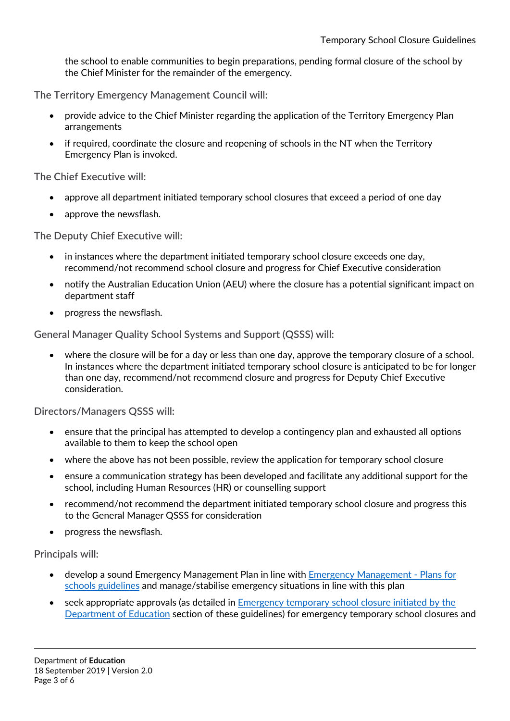the school to enable communities to begin preparations, pending formal closure of the school by the Chief Minister for the remainder of the emergency.

**The Territory Emergency Management Council will:**

- provide advice to the Chief Minister regarding the application of the Territory Emergency Plan arrangements
- if required, coordinate the closure and reopening of schools in the NT when the Territory Emergency Plan is invoked.

**The Chief Executive will:**

- approve all department initiated temporary school closures that exceed a period of one day
- approve the newsflash.

**The Deputy Chief Executive will:**

- in instances where the department initiated temporary school closure exceeds one day, recommend/not recommend school closure and progress for Chief Executive consideration
- notify the Australian Education Union (AEU) where the closure has a potential significant impact on department staff
- progress the newsflash.

**General Manager Quality School Systems and Support (QSSS) will:**

• where the closure will be for a day or less than one day, approve the temporary closure of a school. In instances where the department initiated temporary school closure is anticipated to be for longer than one day, recommend/not recommend closure and progress for Deputy Chief Executive consideration.

**Directors/Managers QSSS will:**

- ensure that the principal has attempted to develop a contingency plan and exhausted all options available to them to keep the school open
- where the above has not been possible, review the application for temporary school closure
- ensure a communication strategy has been developed and facilitate any additional support for the school, including Human Resources (HR) or counselling support
- recommend/not recommend the department initiated temporary school closure and progress this to the General Manager QSSS for consideration
- progress the newsflash.

**Principals will:**

- develop a sound Emergency Management Plan in line with [Emergency Management -](https://education.nt.gov.au/policies/emergency-management) Plans for [schools guidelines](https://education.nt.gov.au/policies/emergency-management) and manage/stabilise emergency situations in line with this plan
- seek appropriate approvals (as detailed i[n Emergency temporary school closure initiated by the](#page-3-0)  [Department of Education](#page-3-0) section of these guidelines) for emergency temporary school closures and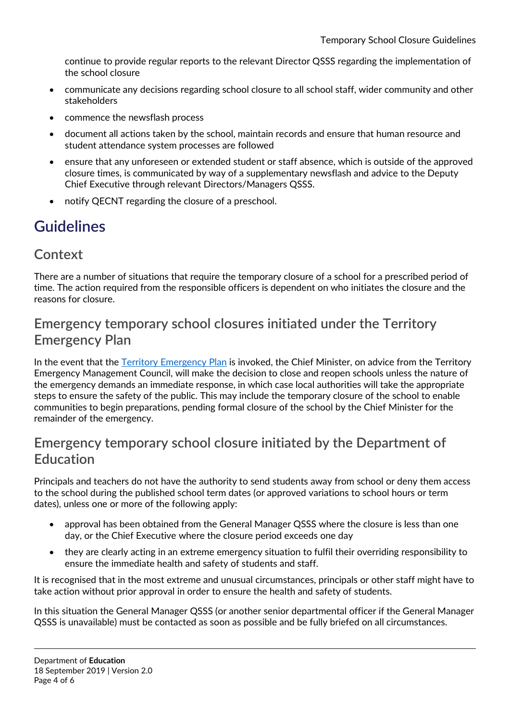continue to provide regular reports to the relevant Director QSSS regarding the implementation of the school closure

- communicate any decisions regarding school closure to all school staff, wider community and other stakeholders
- commence the newsflash process
- document all actions taken by the school, maintain records and ensure that human resource and student attendance system processes are followed
- ensure that any unforeseen or extended student or staff absence, which is outside of the approved closure times, is communicated by way of a supplementary newsflash and advice to the Deputy Chief Executive through relevant Directors/Managers QSSS.
- notify QECNT regarding the closure of a preschool.

# **Guidelines**

#### **Context**

There are a number of situations that require the temporary closure of a school for a prescribed period of time. The action required from the responsible officers is dependent on who initiates the closure and the reasons for closure.

#### **Emergency temporary school closures initiated under the Territory Emergency Plan**

In the event that the [Territory Emergency Plan](http://www.pfes.nt.gov.au/sites/default/files/uploads/files/2019/TEP%20April%202019.pdf) is invoked, the Chief Minister, on advice from the Territory Emergency Management Council, will make the decision to close and reopen schools unless the nature of the emergency demands an immediate response, in which case local authorities will take the appropriate steps to ensure the safety of the public. This may include the temporary closure of the school to enable communities to begin preparations, pending formal closure of the school by the Chief Minister for the remainder of the emergency.

#### <span id="page-3-0"></span>**Emergency temporary school closure initiated by the Department of Education**

Principals and teachers do not have the authority to send students away from school or deny them access to the school during the published school term dates (or approved variations to school hours or term dates), unless one or more of the following apply:

- approval has been obtained from the General Manager QSSS where the closure is less than one day, or the Chief Executive where the closure period exceeds one day
- they are clearly acting in an extreme emergency situation to fulfil their overriding responsibility to ensure the immediate health and safety of students and staff.

It is recognised that in the most extreme and unusual circumstances, principals or other staff might have to take action without prior approval in order to ensure the health and safety of students.

In this situation the General Manager QSSS (or another senior departmental officer if the General Manager QSSS is unavailable) must be contacted as soon as possible and be fully briefed on all circumstances.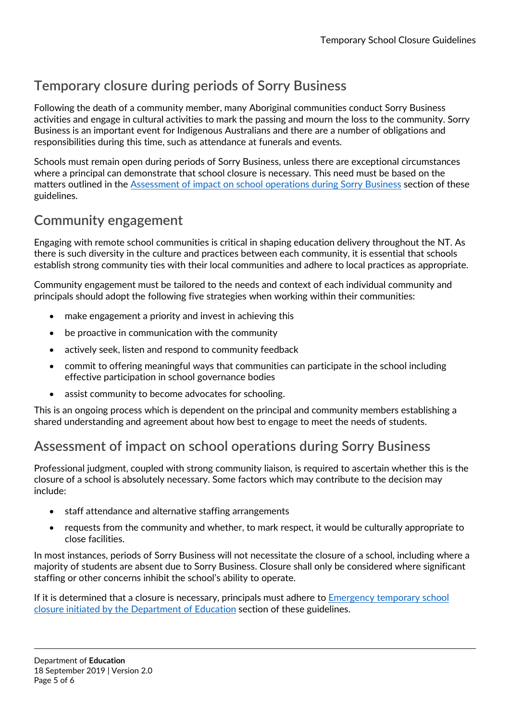## **Temporary closure during periods of Sorry Business**

Following the death of a community member, many Aboriginal communities conduct Sorry Business activities and engage in cultural activities to mark the passing and mourn the loss to the community. Sorry Business is an important event for Indigenous Australians and there are a number of obligations and responsibilities during this time, such as attendance at funerals and events.

Schools must remain open during periods of Sorry Business, unless there are exceptional circumstances where a principal can demonstrate that school closure is necessary. This need must be based on the matters outlined in the [Assessment of impact on school operations during Sorry Business](#page-4-0) section of these guidelines.

## **Community engagement**

Engaging with remote school communities is critical in shaping education delivery throughout the NT. As there is such diversity in the culture and practices between each community, it is essential that schools establish strong community ties with their local communities and adhere to local practices as appropriate.

Community engagement must be tailored to the needs and context of each individual community and principals should adopt the following five strategies when working within their communities:

- make engagement a priority and invest in achieving this
- be proactive in communication with the community
- actively seek, listen and respond to community feedback
- commit to offering meaningful ways that communities can participate in the school including effective participation in school governance bodies
- assist community to become advocates for schooling.

This is an ongoing process which is dependent on the principal and community members establishing a shared understanding and agreement about how best to engage to meet the needs of students.

## <span id="page-4-0"></span>**Assessment of impact on school operations during Sorry Business**

Professional judgment, coupled with strong community liaison, is required to ascertain whether this is the closure of a school is absolutely necessary. Some factors which may contribute to the decision may include:

- staff attendance and alternative staffing arrangements
- requests from the community and whether, to mark respect, it would be culturally appropriate to close facilities.

In most instances, periods of Sorry Business will not necessitate the closure of a school, including where a majority of students are absent due to Sorry Business. Closure shall only be considered where significant staffing or other concerns inhibit the school's ability to operate.

If it is determined that a closure is necessary, principals must adhere to [Emergency temporary school](#page-3-0)  [closure initiated by the Department of Education](#page-3-0) section of these guidelines.